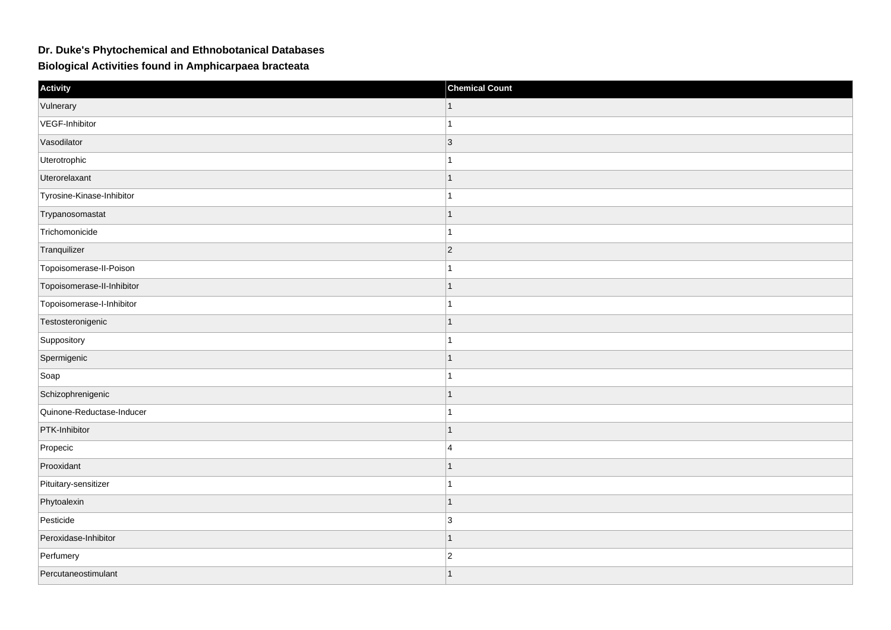## **Dr. Duke's Phytochemical and Ethnobotanical Databases**

**Biological Activities found in Amphicarpaea bracteata**

| Activity                   | <b>Chemical Count</b>   |
|----------------------------|-------------------------|
| Vulnerary                  |                         |
| VEGF-Inhibitor             |                         |
| Vasodilator                | 3                       |
| Uterotrophic               |                         |
| Uterorelaxant              |                         |
| Tyrosine-Kinase-Inhibitor  |                         |
| Trypanosomastat            |                         |
| Trichomonicide             | 1                       |
| Tranquilizer               | $ 2\rangle$             |
| Topoisomerase-II-Poison    | $\overline{ }$          |
| Topoisomerase-II-Inhibitor | $\mathbf{1}$            |
| Topoisomerase-I-Inhibitor  |                         |
| Testosteronigenic          |                         |
| Suppository                |                         |
| Spermigenic                | $\mathbf 1$             |
| Soap                       | $\overline{1}$          |
| Schizophrenigenic          | $\mathbf 1$             |
| Quinone-Reductase-Inducer  |                         |
| PTK-Inhibitor              |                         |
| Propecic                   | $\overline{4}$          |
| Prooxidant                 |                         |
| Pituitary-sensitizer       |                         |
| Phytoalexin                | $\mathbf{1}$            |
| Pesticide                  | 3                       |
| Peroxidase-Inhibitor       | $\mathbf 1$             |
| Perfumery                  | $ 2\rangle$             |
| Percutaneostimulant        | $\overline{\mathbf{1}}$ |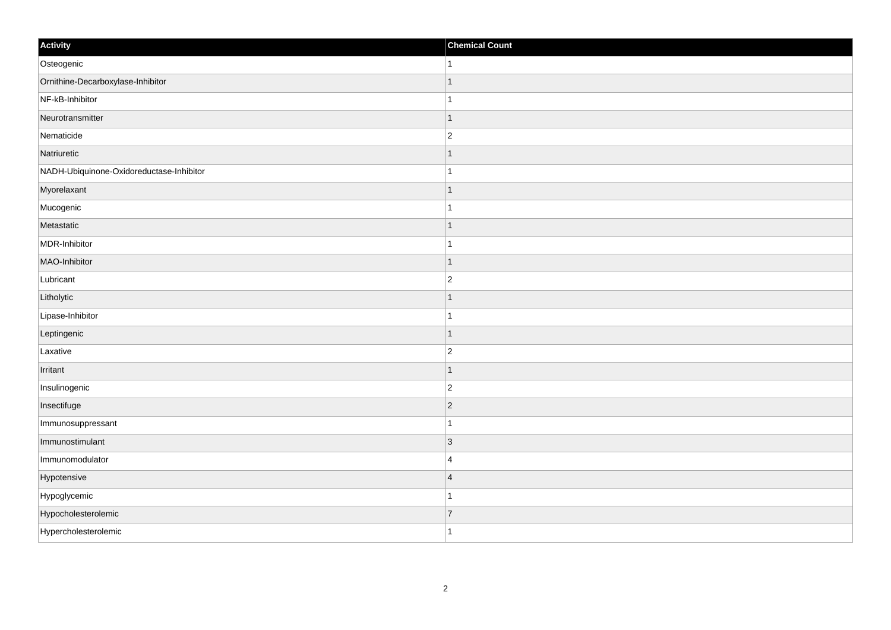| Activity                                 | <b>Chemical Count</b> |
|------------------------------------------|-----------------------|
| Osteogenic                               | $\mathbf{1}$          |
| Ornithine-Decarboxylase-Inhibitor        | $\mathbf{1}$          |
| NF-kB-Inhibitor                          | 1                     |
| Neurotransmitter                         | $\mathbf 1$           |
| Nematicide                               | $\overline{c}$        |
| Natriuretic                              |                       |
| NADH-Ubiquinone-Oxidoreductase-Inhibitor | 1                     |
| Myorelaxant                              |                       |
| Mucogenic                                |                       |
| Metastatic                               | $\mathbf 1$           |
| MDR-Inhibitor                            | $\mathbf{1}$          |
| MAO-Inhibitor                            | $\mathbf 1$           |
| Lubricant                                | $\overline{2}$        |
| Litholytic                               |                       |
| Lipase-Inhibitor                         |                       |
| Leptingenic                              | $\mathbf 1$           |
| Laxative                                 | $\overline{2}$        |
| Irritant                                 |                       |
| Insulinogenic                            | $\overline{2}$        |
| Insectifuge                              | $\overline{2}$        |
| Immunosuppressant                        |                       |
| Immunostimulant                          | 3                     |
| Immunomodulator                          | $\overline{4}$        |
| Hypotensive                              | $\overline{4}$        |
| Hypoglycemic                             |                       |
| Hypocholesterolemic                      | $\overline{7}$        |
| Hypercholesterolemic                     | $\mathbf{1}$          |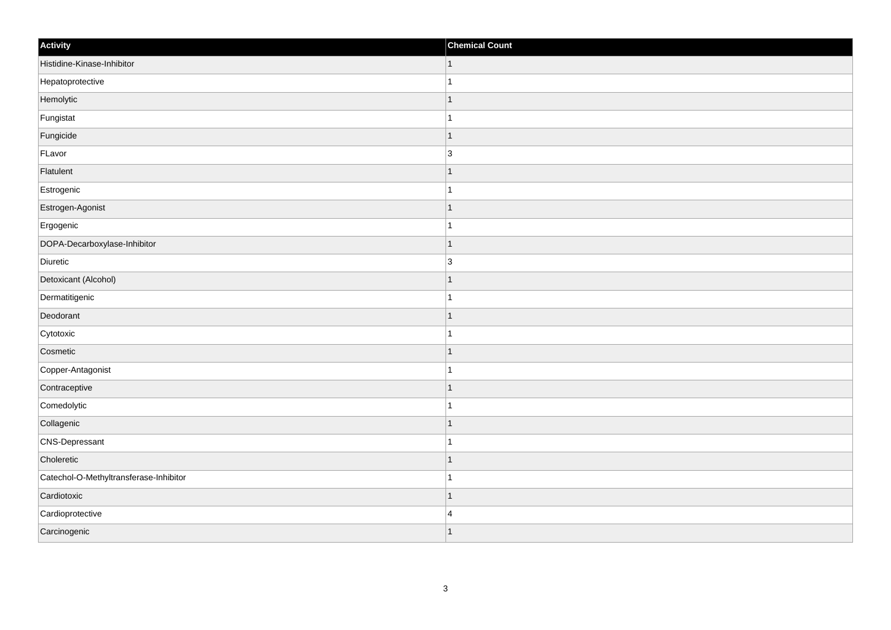| Activity                               | <b>Chemical Count</b> |
|----------------------------------------|-----------------------|
| Histidine-Kinase-Inhibitor             | 1                     |
| Hepatoprotective                       | $\overline{1}$        |
| Hemolytic                              | $\overline{1}$        |
| Fungistat                              | $\mathbf{1}$          |
| Fungicide                              | $\overline{1}$        |
| FLavor                                 | $\vert 3 \vert$       |
| Flatulent                              | $\mathbf{1}$          |
| Estrogenic                             | $\mathbf{1}$          |
| Estrogen-Agonist                       | $\overline{1}$        |
| Ergogenic                              | $\mathbf{1}$          |
| DOPA-Decarboxylase-Inhibitor           | $\overline{1}$        |
| Diuretic                               | 3                     |
| Detoxicant (Alcohol)                   | $\mathbf{1}$          |
| Dermatitigenic                         | $\mathbf{1}$          |
| Deodorant                              | $\overline{1}$        |
| Cytotoxic                              | $\mathbf{1}$          |
| Cosmetic                               | $\overline{1}$        |
| Copper-Antagonist                      | $\overline{1}$        |
| Contraceptive                          | $\mathbf{1}$          |
| Comedolytic                            | $\mathbf{1}$          |
| Collagenic                             | $\overline{1}$        |
| CNS-Depressant                         | $\mathbf{1}$          |
| Choleretic                             | $\mathbf{1}$          |
| Catechol-O-Methyltransferase-Inhibitor | $\mathbf{1}$          |
| Cardiotoxic                            | $\overline{1}$        |
| Cardioprotective                       | $\overline{4}$        |
| Carcinogenic                           | $\overline{1}$        |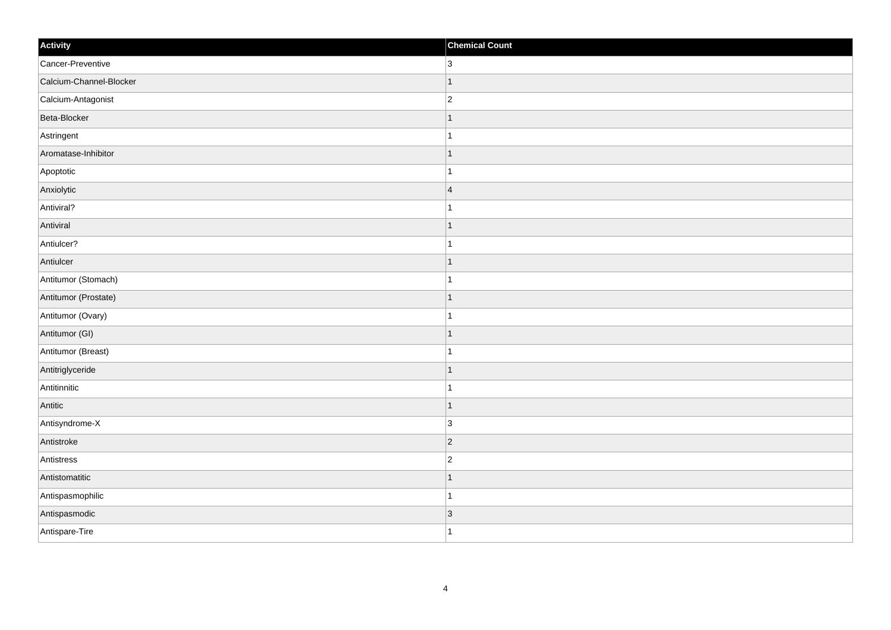| Activity                | <b>Chemical Count</b> |
|-------------------------|-----------------------|
| Cancer-Preventive       | $ 3\rangle$           |
| Calcium-Channel-Blocker | $\mathbf{1}$          |
| Calcium-Antagonist      | $\vert$ 2             |
| Beta-Blocker            | $\vert$ 1             |
| Astringent              | $\vert$ 1             |
| Aromatase-Inhibitor     | $\mathbf{1}$          |
| Apoptotic               | $\mathbf{1}$          |
| Anxiolytic              | $\vert 4$             |
| Antiviral?              | $\mathbf{1}$          |
| Antiviral               | $\vert$ 1             |
| Antiulcer?              | $\vert$ 1             |
| Antiulcer               | $\mathbf{1}$          |
| Antitumor (Stomach)     | $\mathbf{1}$          |
| Antitumor (Prostate)    | $\mathbf{1}$          |
| Antitumor (Ovary)       | $\mathbf{1}$          |
| Antitumor (GI)          | $\vert$ 1             |
| Antitumor (Breast)      | $\mathbf{1}$          |
| Antitriglyceride        | $\vert$ 1             |
| Antitinnitic            | $\mathbf{1}$          |
| Antitic                 | $\vert$ 1             |
| Antisyndrome-X          | 3                     |
| Antistroke              | $ 2\rangle$           |
| Antistress              | $ 2\rangle$           |
| Antistomatitic          | $\mathbf{1}$          |
| Antispasmophilic        | $\mathbf{1}$          |
| Antispasmodic           | $\vert$ 3             |
| Antispare-Tire          | $\vert$ 1             |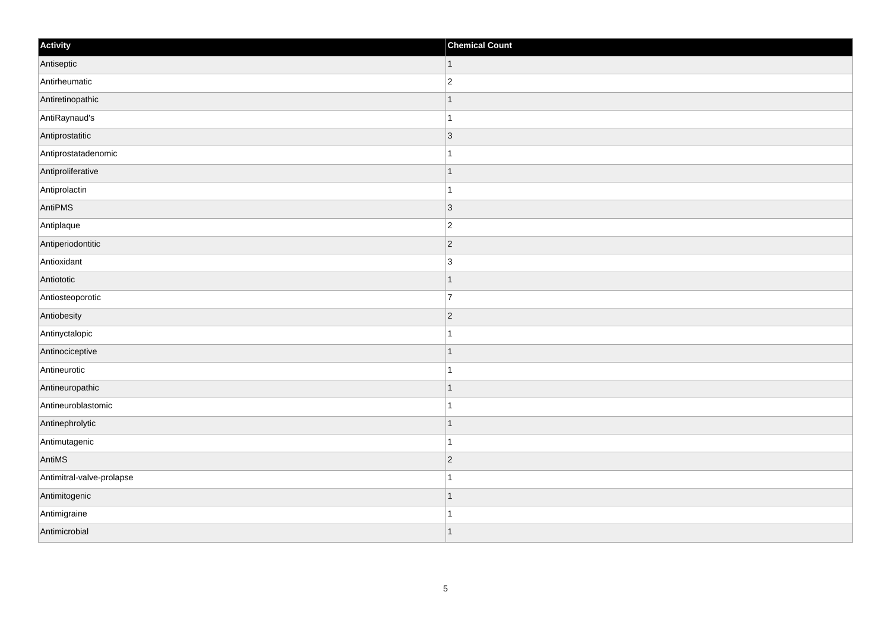| Activity                  | <b>Chemical Count</b> |
|---------------------------|-----------------------|
| Antiseptic                | $\vert$ 1             |
| Antirheumatic             | $\overline{2}$        |
| Antiretinopathic          |                       |
| AntiRaynaud's             | 1                     |
| Antiprostatitic           | $\overline{3}$        |
| Antiprostatadenomic       |                       |
| Antiproliferative         | $\overline{1}$        |
| Antiprolactin             | $\overline{1}$        |
| AntiPMS                   | 3                     |
| Antiplaque                | $\overline{2}$        |
| Antiperiodontitic         | $\overline{2}$        |
| Antioxidant               | $\overline{3}$        |
| Antiototic                | $\vert$ 1             |
| Antiosteoporotic          | $\overline{7}$        |
| Antiobesity               | $ 2\rangle$           |
| Antinyctalopic            | $\mathbf{1}$          |
| Antinociceptive           | $\mathbf 1$           |
| Antineurotic              | 1                     |
| Antineuropathic           | $\vert$ 1             |
| Antineuroblastomic        | $\mathbf{1}$          |
| Antinephrolytic           | 1                     |
| Antimutagenic             | $\mathbf{1}$          |
| AntiMS                    | $ 2\rangle$           |
| Antimitral-valve-prolapse | $\mathbf 1$           |
| Antimitogenic             | $\mathbf 1$           |
| Antimigraine              | 1                     |
| Antimicrobial             | $\vert$ 1             |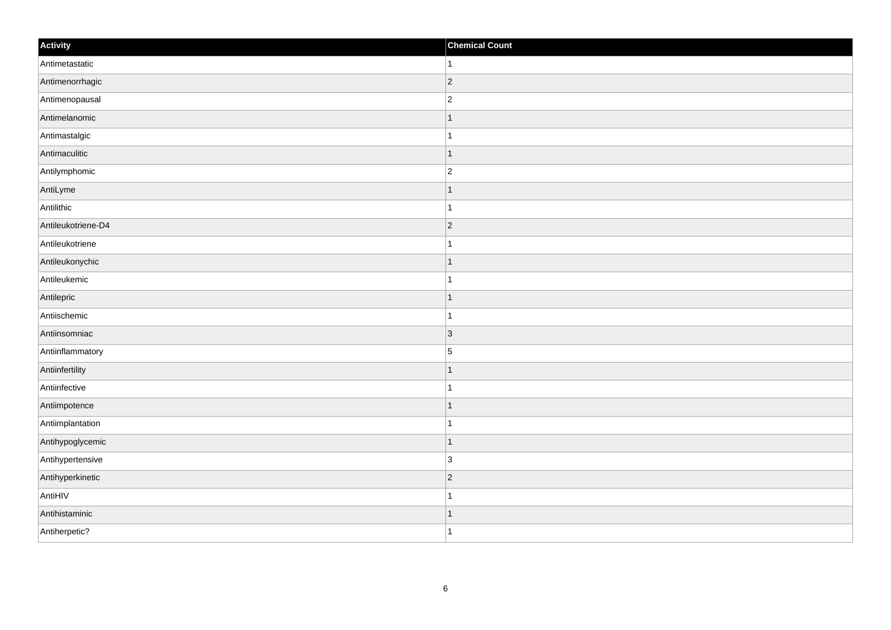| Activity           | <b>Chemical Count</b> |
|--------------------|-----------------------|
| Antimetastatic     | $\vert$ 1             |
| Antimenorrhagic    | $ 2\rangle$           |
| Antimenopausal     | $\overline{2}$        |
| Antimelanomic      | $\vert$ 1             |
| Antimastalgic      | $\vert$ 1             |
| Antimaculitic      | $\vert$ 1             |
| Antilymphomic      | $\vert$ 2             |
| AntiLyme           | $\mathbf{1}$          |
| Antilithic         | $\mathbf{1}$          |
| Antileukotriene-D4 | $ 2\rangle$           |
| Antileukotriene    | $\mathbf{1}$          |
| Antileukonychic    | $\vert$ 1             |
| Antileukemic       | $\mathbf{1}$          |
| Antilepric         | $\vert$ 1             |
| Antiischemic       | $\vert$ 1             |
| Antiinsomniac      | $ 3\rangle$           |
| Antiinflammatory   | 5                     |
| Antiinfertility    | $\vert$ 1             |
| Antiinfective      | $\vert$ 1             |
| Antiimpotence      | $\vert$ 1             |
| Antiimplantation   | $\vert$ 1             |
| Antihypoglycemic   | $\vert$ 1             |
| Antihypertensive   | 3                     |
| Antihyperkinetic   | $\vert$ 2             |
| AntiHIV            | $\vert$ 1             |
| Antihistaminic     | $\vert$ 1             |
| Antiherpetic?      | $\vert$ 1             |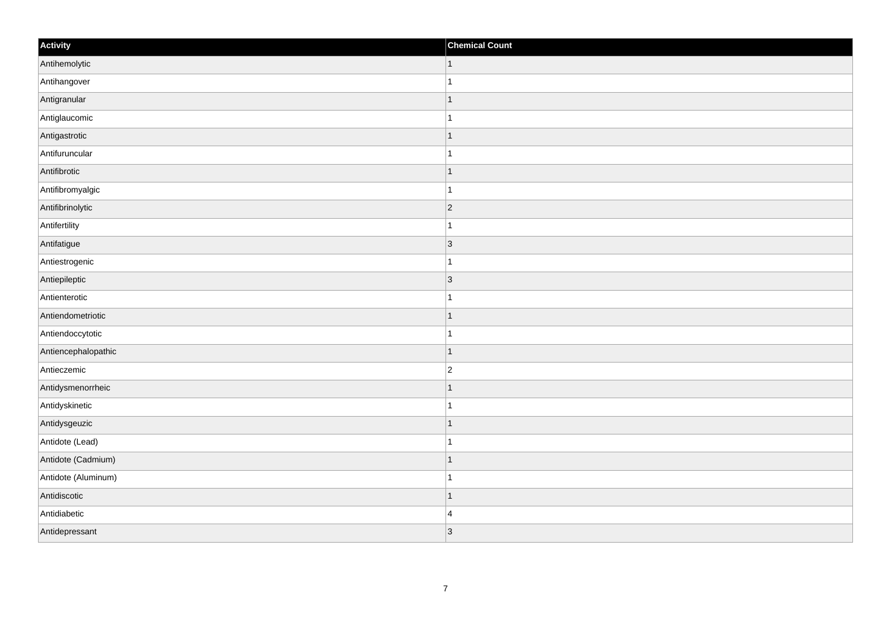| Activity            | <b>Chemical Count</b> |
|---------------------|-----------------------|
| Antihemolytic       | $\vert$ 1             |
| Antihangover        | $\mathbf{1}$          |
| Antigranular        | $\mathbf 1$           |
| Antiglaucomic       | 1                     |
| Antigastrotic       | $\mathbf 1$           |
| Antifuruncular      |                       |
| Antifibrotic        | $\mathbf 1$           |
| Antifibromyalgic    | $\mathbf{1}$          |
| Antifibrinolytic    | $ 2\rangle$           |
| Antifertility       | $\mathbf{1}$          |
| Antifatigue         | $ 3\rangle$           |
| Antiestrogenic      |                       |
| Antiepileptic       | 3                     |
| Antienterotic       | 1                     |
| Antiendometriotic   | 1                     |
| Antiendoccytotic    | $\mathbf{1}$          |
| Antiencephalopathic | $\mathbf 1$           |
| Antieczemic         | $\overline{c}$        |
| Antidysmenorrheic   | $\mathbf 1$           |
| Antidyskinetic      | 1                     |
| Antidysgeuzic       | $\overline{1}$        |
| Antidote (Lead)     | 1                     |
| Antidote (Cadmium)  | 1                     |
| Antidote (Aluminum) | 1                     |
| Antidiscotic        | $\mathbf{1}$          |
| Antidiabetic        | $\overline{4}$        |
| Antidepressant      | 3                     |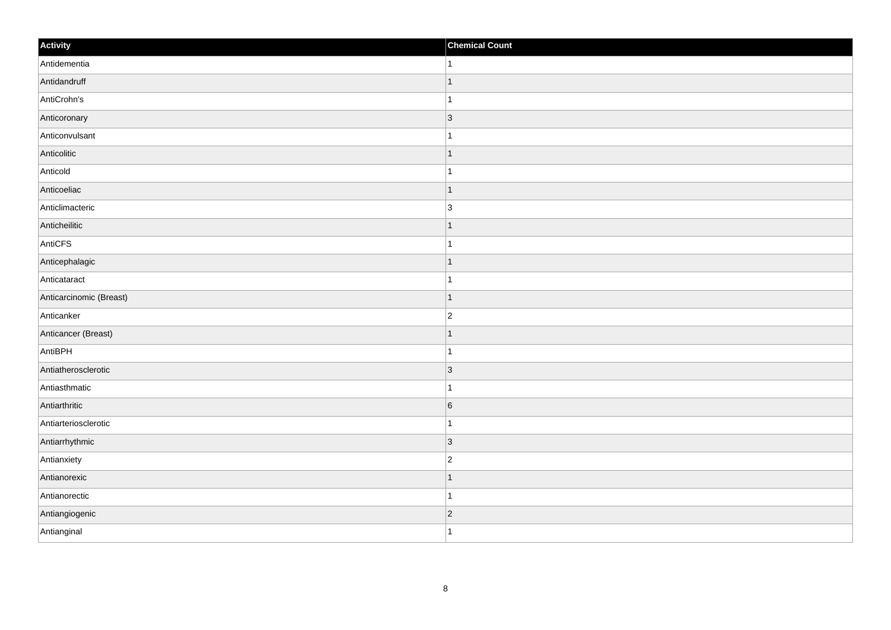| Activity                | <b>Chemical Count</b> |
|-------------------------|-----------------------|
| Antidementia            | $\vert$ 1             |
| Antidandruff            | $\mathbf{1}$          |
| AntiCrohn's             | $\mathbf{1}$          |
| Anticoronary            | $ 3\rangle$           |
| Anticonvulsant          | $\mathbf{1}$          |
| Anticolitic             | $\mathbf 1$           |
| Anticold                | $\mathbf{1}$          |
| Anticoeliac             | $\mathbf 1$           |
| Anticlimacteric         | $\overline{3}$        |
| Anticheilitic           | $\overline{1}$        |
| AntiCFS                 | $\overline{1}$        |
| Anticephalagic          | $\mathbf 1$           |
| Anticataract            | $\mathbf{1}$          |
| Anticarcinomic (Breast) | $\mathbf 1$           |
| Anticanker              | $\overline{c}$        |
| Anticancer (Breast)     | $\mathbf{1}$          |
| AntiBPH                 | $\overline{1}$        |
| Antiatherosclerotic     | 3                     |
| Antiasthmatic           | $\mathbf{1}$          |
| Antiarthritic           | 6                     |
| Antiarteriosclerotic    | $\mathbf{1}$          |
| Antiarrhythmic          | 3                     |
| Antianxiety             | $\overline{c}$        |
| Antianorexic            | $\mathbf 1$           |
| Antianorectic           | $\overline{1}$        |
| Antiangiogenic          | $ 2\rangle$           |
| Antianginal             | $\overline{1}$        |